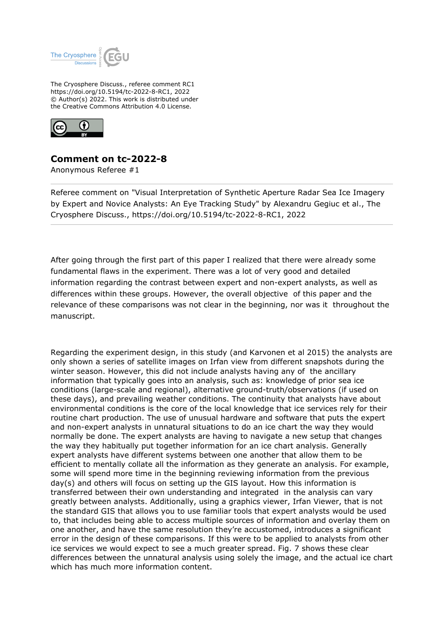

The Cryosphere Discuss., referee comment RC1 https://doi.org/10.5194/tc-2022-8-RC1, 2022 © Author(s) 2022. This work is distributed under the Creative Commons Attribution 4.0 License.



## **Comment on tc-2022-8**

Anonymous Referee #1

Referee comment on "Visual Interpretation of Synthetic Aperture Radar Sea Ice Imagery by Expert and Novice Analysts: An Eye Tracking Study" by Alexandru Gegiuc et al., The Cryosphere Discuss., https://doi.org/10.5194/tc-2022-8-RC1, 2022

After going through the first part of this paper I realized that there were already some fundamental flaws in the experiment. There was a lot of very good and detailed information regarding the contrast between expert and non-expert analysts, as well as differences within these groups. However, the overall objective of this paper and the relevance of these comparisons was not clear in the beginning, nor was it throughout the manuscript.

Regarding the experiment design, in this study (and Karvonen et al 2015) the analysts are only shown a series of satellite images on Irfan view from different snapshots during the winter season. However, this did not include analysts having any of the ancillary information that typically goes into an analysis, such as: knowledge of prior sea ice conditions (large-scale and regional), alternative ground-truth/observations (if used on these days), and prevailing weather conditions. The continuity that analysts have about environmental conditions is the core of the local knowledge that ice services rely for their routine chart production. The use of unusual hardware and software that puts the expert and non-expert analysts in unnatural situations to do an ice chart the way they would normally be done. The expert analysts are having to navigate a new setup that changes the way they habitually put together information for an ice chart analysis. Generally expert analysts have different systems between one another that allow them to be efficient to mentally collate all the information as they generate an analysis. For example, some will spend more time in the beginning reviewing information from the previous day(s) and others will focus on setting up the GIS layout. How this information is transferred between their own understanding and integrated in the analysis can vary greatly between analysts. Additionally, using a graphics viewer, Irfan Viewer, that is not the standard GIS that allows you to use familiar tools that expert analysts would be used to, that includes being able to access multiple sources of information and overlay them on one another, and have the same resolution they're accustomed, introduces a significant error in the design of these comparisons. If this were to be applied to analysts from other ice services we would expect to see a much greater spread. Fig. 7 shows these clear differences between the unnatural analysis using solely the image, and the actual ice chart which has much more information content.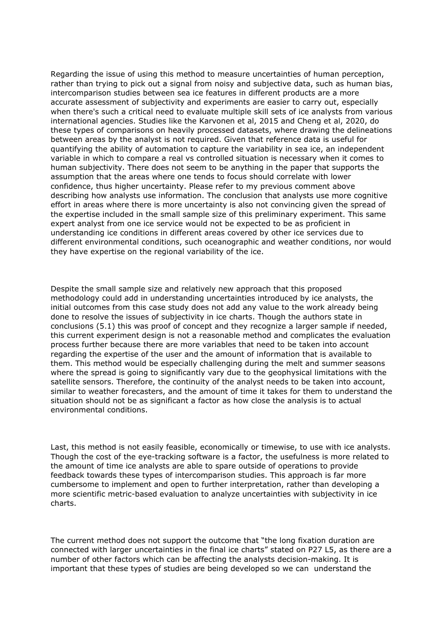Regarding the issue of using this method to measure uncertainties of human perception, rather than trying to pick out a signal from noisy and subjective data, such as human bias, intercomparison studies between sea ice features in different products are a more accurate assessment of subjectivity and experiments are easier to carry out, especially when there's such a critical need to evaluate multiple skill sets of ice analysts from various international agencies. Studies like the Karvonen et al, 2015 and Cheng et al, 2020, do these types of comparisons on heavily processed datasets, where drawing the delineations between areas by the analyst is not required. Given that reference data is useful for quantifying the ability of automation to capture the variability in sea ice, an independent variable in which to compare a real vs controlled situation is necessary when it comes to human subjectivity. There does not seem to be anything in the paper that supports the assumption that the areas where one tends to focus should correlate with lower confidence, thus higher uncertainty. Please refer to my previous comment above describing how analysts use information. The conclusion that analysts use more cognitive effort in areas where there is more uncertainty is also not convincing given the spread of the expertise included in the small sample size of this preliminary experiment. This same expert analyst from one ice service would not be expected to be as proficient in understanding ice conditions in different areas covered by other ice services due to different environmental conditions, such oceanographic and weather conditions, nor would they have expertise on the regional variability of the ice.

Despite the small sample size and relatively new approach that this proposed methodology could add in understanding uncertainties introduced by ice analysts, the initial outcomes from this case study does not add any value to the work already being done to resolve the issues of subjectivity in ice charts. Though the authors state in conclusions (5.1) this was proof of concept and they recognize a larger sample if needed, this current experiment design is not a reasonable method and complicates the evaluation process further because there are more variables that need to be taken into account regarding the expertise of the user and the amount of information that is available to them. This method would be especially challenging during the melt and summer seasons where the spread is going to significantly vary due to the geophysical limitations with the satellite sensors. Therefore, the continuity of the analyst needs to be taken into account, similar to weather forecasters, and the amount of time it takes for them to understand the situation should not be as significant a factor as how close the analysis is to actual environmental conditions.

Last, this method is not easily feasible, economically or timewise, to use with ice analysts. Though the cost of the eye-tracking software is a factor, the usefulness is more related to the amount of time ice analysts are able to spare outside of operations to provide feedback towards these types of intercomparison studies. This approach is far more cumbersome to implement and open to further interpretation, rather than developing a more scientific metric-based evaluation to analyze uncertainties with subjectivity in ice charts.

The current method does not support the outcome that "the long fixation duration are connected with larger uncertainties in the final ice charts" stated on P27 L5, as there are a number of other factors which can be affecting the analysts decision-making. It is important that these types of studies are being developed so we can understand the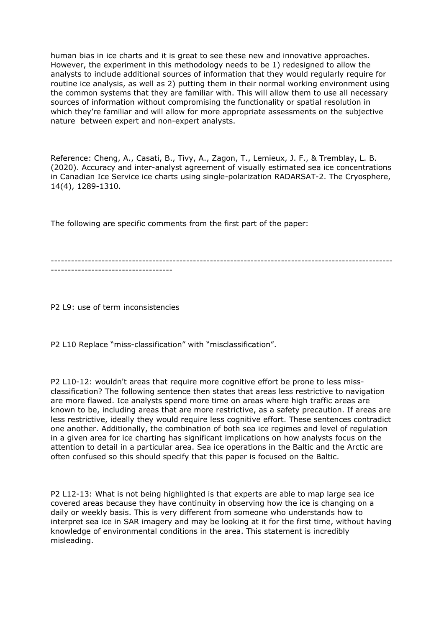human bias in ice charts and it is great to see these new and innovative approaches. However, the experiment in this methodology needs to be 1) redesigned to allow the analysts to include additional sources of information that they would regularly require for routine ice analysis, as well as 2) putting them in their normal working environment using the common systems that they are familiar with. This will allow them to use all necessary sources of information without compromising the functionality or spatial resolution in which they're familiar and will allow for more appropriate assessments on the subjective nature between expert and non-expert analysts.

Reference: Cheng, A., Casati, B., Tivy, A., Zagon, T., Lemieux, J. F., & Tremblay, L. B. (2020). Accuracy and inter-analyst agreement of visually estimated sea ice concentrations in Canadian Ice Service ice charts using single-polarization RADARSAT-2. The Cryosphere, 14(4), 1289-1310.

The following are specific comments from the first part of the paper:

----------------------------------------------------------------------------------------------------- ------------------------------------

P2 L9: use of term inconsistencies

P2 L10 Replace "miss-classification" with "misclassification".

P2 L10-12: wouldn't areas that require more cognitive effort be prone to less missclassification? The following sentence then states that areas less restrictive to navigation are more flawed. Ice analysts spend more time on areas where high traffic areas are known to be, including areas that are more restrictive, as a safety precaution. If areas are less restrictive, ideally they would require less cognitive effort. These sentences contradict one another. Additionally, the combination of both sea ice regimes and level of regulation in a given area for ice charting has significant implications on how analysts focus on the attention to detail in a particular area. Sea ice operations in the Baltic and the Arctic are often confused so this should specify that this paper is focused on the Baltic.

P2 L12-13: What is not being highlighted is that experts are able to map large sea ice covered areas because they have continuity in observing how the ice is changing on a daily or weekly basis. This is very different from someone who understands how to interpret sea ice in SAR imagery and may be looking at it for the first time, without having knowledge of environmental conditions in the area. This statement is incredibly misleading.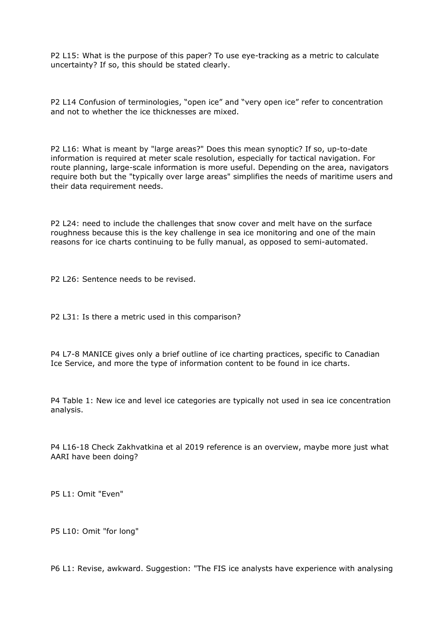P2 L15: What is the purpose of this paper? To use eye-tracking as a metric to calculate uncertainty? If so, this should be stated clearly.

P2 L14 Confusion of terminologies, "open ice" and "very open ice" refer to concentration and not to whether the ice thicknesses are mixed.

P2 L16: What is meant by "large areas?" Does this mean synoptic? If so, up-to-date information is required at meter scale resolution, especially for tactical navigation. For route planning, large-scale information is more useful. Depending on the area, navigators require both but the "typically over large areas" simplifies the needs of maritime users and their data requirement needs.

P2 L24: need to include the challenges that snow cover and melt have on the surface roughness because this is the key challenge in sea ice monitoring and one of the main reasons for ice charts continuing to be fully manual, as opposed to semi-automated.

P2 L26: Sentence needs to be revised.

P2 L31: Is there a metric used in this comparison?

P4 L7-8 MANICE gives only a brief outline of ice charting practices, specific to Canadian Ice Service, and more the type of information content to be found in ice charts.

P4 Table 1: New ice and level ice categories are typically not used in sea ice concentration analysis.

P4 L16-18 Check Zakhvatkina et al 2019 reference is an overview, maybe more just what AARI have been doing?

P5 L1: Omit "Even"

P5 L10: Omit "for long"

P6 L1: Revise, awkward. Suggestion: "The FIS ice analysts have experience with analysing